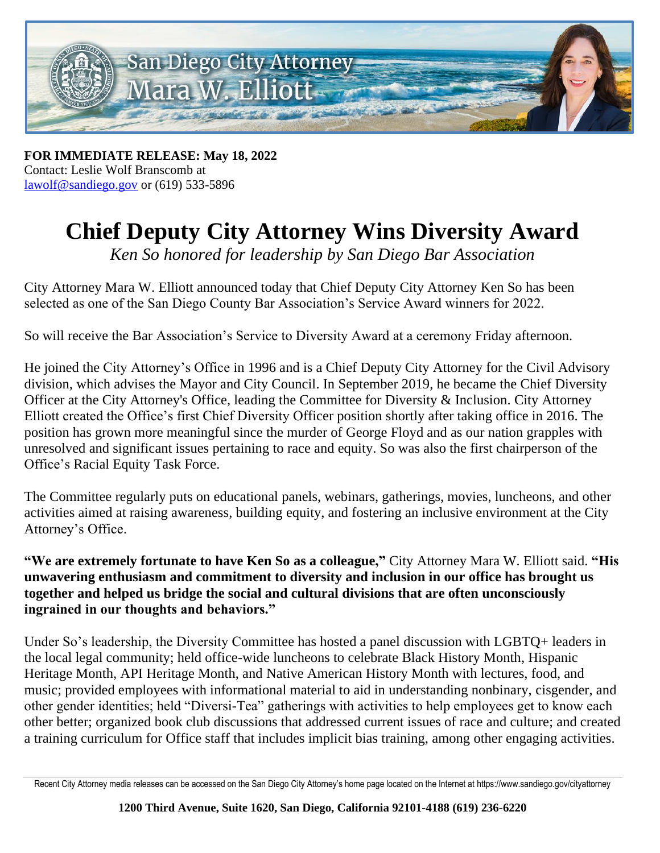

**FOR IMMEDIATE RELEASE: May 18, 2022** Contact: Leslie Wolf Branscomb at lawolf@sandiego.gov or (619) 533-5896

## **Chief Deputy City Attorney Wins Diversity Award**

*Ken So honored for leadership by San Diego Bar Association*

City Attorney Mara W. Elliott announced today that Chief Deputy City Attorney Ken So has been selected as one of the San Diego County Bar Association's Service Award winners for 2022.

So will receive the Bar Association's Service to Diversity Award at a ceremony Friday afternoon.

He joined the City Attorney's Office in 1996 and is a Chief Deputy City Attorney for the Civil Advisory division, which advises the Mayor and City Council. In September 2019, he became the Chief Diversity Officer at the City Attorney's Office, leading the Committee for Diversity & Inclusion. City Attorney Elliott created the Office's first Chief Diversity Officer position shortly after taking office in 2016. The position has grown more meaningful since the murder of George Floyd and as our nation grapples with unresolved and significant issues pertaining to race and equity. So was also the first chairperson of the Office's Racial Equity Task Force.

The Committee regularly puts on educational panels, webinars, gatherings, movies, luncheons, and other activities aimed at raising awareness, building equity, and fostering an inclusive environment at the City Attorney's Office.

**"We are extremely fortunate to have Ken So as a colleague,"** City Attorney Mara W. Elliott said. **"His unwavering enthusiasm and commitment to diversity and inclusion in our office has brought us together and helped us bridge the social and cultural divisions that are often unconsciously ingrained in our thoughts and behaviors."**

Under So's leadership, the Diversity Committee has hosted a panel discussion with LGBTQ+ leaders in the local legal community; held office-wide luncheons to celebrate Black History Month, Hispanic Heritage Month, API Heritage Month, and Native American History Month with lectures, food, and music; provided employees with informational material to aid in understanding nonbinary, cisgender, and other gender identities; held "Diversi-Tea" gatherings with activities to help employees get to know each other better; organized book club discussions that addressed current issues of race and culture; and created a training curriculum for Office staff that includes implicit bias training, among other engaging activities.

Recent City Attorney media releases can be accessed on the San Diego City Attorney's home page located on the Internet at https://www.sandiego.gov/cityattorney